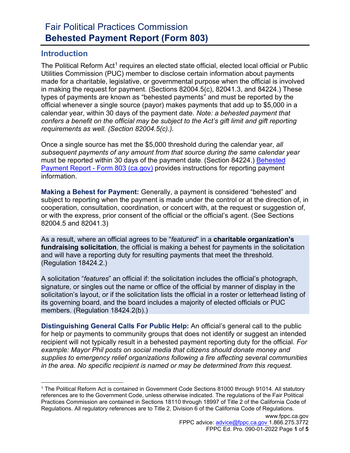## Fair Political Practices Commission **Behested Payment Report (Form 803)**

### **Introduction**

The Political Reform Act<sup>[1](#page-0-0)</sup> requires an elected state official, elected local official or Public Utilities Commission (PUC) member to disclose certain information about payments made for a charitable, legislative, or governmental purpose when the official is involved in making the request for payment. (Sections 82004.5(c), 82041.3, and 84224.) These types of payments are known as "behested payments" and must be reported by the official whenever a single source (payor) makes payments that add up to \$5,000 in a calendar year, within 30 days of the payment date. *Note: a behested payment that confers a benefit on the official may be subject to the Act's gift limit and gift reporting requirements as well. (Section 82004.5(c).).*

Once a single source has met the \$5,000 threshold during the calendar year, *all subsequent payments of any amount from that source during the same calendar year* must be reported within 30 days of the payment date. (Section 84224.) [Behested](https://www.fppc.ca.gov/learn/public-officials-and-employees-rules-/behested-payment-report.html)  Payment Report - [Form 803 \(ca.gov\)](https://www.fppc.ca.gov/learn/public-officials-and-employees-rules-/behested-payment-report.html) provides instructions for reporting payment information.

**Making a Behest for Payment:** Generally, a payment is considered "behested" and subject to reporting when the payment is made under the control or at the direction of, in cooperation, consultation, coordination, or concert with, at the request or suggestion of, or with the express, prior consent of the official or the official's agent. (See Sections 82004.5 and 82041.3)

As a result, where an official agrees to be "*featured*" in a **charitable organization's fundraising solicitation**, the official is making a behest for payments in the solicitation and will have a reporting duty for resulting payments that meet the threshold. (Regulation 18424.2.)

A solicitation "*features*" an official if: the solicitation includes the official's photograph, signature, or singles out the name or office of the official by manner of display in the solicitation's layout, or if the solicitation lists the official in a roster or letterhead listing of its governing board, and the board includes a majority of elected officials or PUC members. (Regulation 18424.2(b).)

**Distinguishing General Calls For Public Help:** An official's general call to the public for help or payments to community groups that does not identify or suggest an intended recipient will not typically result in a behested payment reporting duty for the official. *For example: Mayor Phil posts on social media that citizens should donate money and supplies to emergency relief organizations following a fire affecting several communities in the area. No specific recipient is named or may be determined from this request.*

<span id="page-0-0"></span><sup>1</sup> The Political Reform Act is contained in Government Code Sections 81000 through 91014. All statutory references are to the Government Code, unless otherwise indicated. The regulations of the Fair Political Practices Commission are contained in Sections 18110 through 18997 of Title 2 of the California Code of Regulations. All regulatory references are to Title 2, Division 6 of the California Code of Regulations.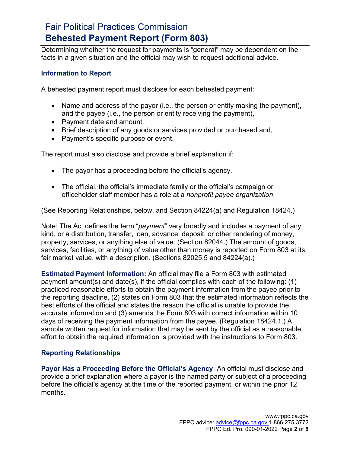### Fair Political Practices Commission **Behested Payment Report (Form 803)**

Determining whether the request for payments is "general" may be dependent on the facts in a given situation and the official may wish to request additional advice.

#### **Information to Report**

A behested payment report must disclose for each behested payment:

- Name and address of the payor (i.e., the person or entity making the payment), and the payee (i.e., the person or entity receiving the payment),
- Payment date and amount,
- Brief description of any goods or services provided or purchased and,
- Payment's specific purpose or event.

The report must also disclose and provide a brief explanation if:

- The payor has a proceeding before the official's agency.
- The official, the official's immediate family or the official's campaign or officeholder staff member has a role at a *nonprofit payee organization*.

(See Reporting Relationships, below, and Section 84224(a) and Regulation 18424.)

Note: The Act defines the term "*payment*" very broadly and includes a payment of any kind, or a distribution, transfer, loan, advance, deposit, or other rendering of money, property, services, or anything else of value. (Section 82044.) The amount of goods, services, facilities, or anything of value other than money is reported on Form 803 at its fair market value, with a description. (Sections 82025.5 and 84224(a).)

**Estimated Payment Information:** An official may file a Form 803 with estimated payment amount(s) and date(s), if the official complies with each of the following: (1) practiced reasonable efforts to obtain the payment information from the payee prior to the reporting deadline, (2) states on Form 803 that the estimated information reflects the best efforts of the official and states the reason the official is unable to provide the accurate information and (3) amends the Form 803 with correct information within 10 days of receiving the payment information from the payee. (Regulation 18424.1.) A sample written request for information that may be sent by the official as a reasonable effort to obtain the required information is provided with the instructions to Form 803.

#### **Reporting Relationships**

**Payor Has a Proceeding Before the Official's Agency**: An official must disclose and provide a brief explanation where a payor is the named party or subject of a proceeding before the official's agency at the time of the reported payment, or within the prior 12 months.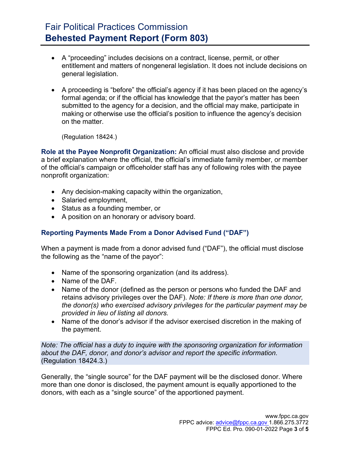# Fair Political Practices Commission **Behested Payment Report (Form 803)**

- A "proceeding" includes decisions on a contract, license, permit, or other entitlement and matters of nongeneral legislation. It does not include decisions on general legislation.
- A proceeding is "before" the official's agency if it has been placed on the agency's formal agenda; or if the official has knowledge that the payor's matter has been submitted to the agency for a decision, and the official may make, participate in making or otherwise use the official's position to influence the agency's decision on the matter.

(Regulation 18424.)

**Role at the Payee Nonprofit Organization:** An official must also disclose and provide a brief explanation where the official, the official's immediate family member, or member of the official's campaign or officeholder staff has any of following roles with the payee nonprofit organization:

- Any decision-making capacity within the organization,
- Salaried employment,
- Status as a founding member, or
- A position on an honorary or advisory board.

#### **Reporting Payments Made From a Donor Advised Fund ("DAF")**

When a payment is made from a donor advised fund ("DAF"), the official must disclose the following as the "name of the payor":

- Name of the sponsoring organization (and its address).
- Name of the DAF.
- Name of the donor (defined as the person or persons who funded the DAF and retains advisory privileges over the DAF). *Note: If there is more than one donor, the donor(s) who exercised advisory privileges for the particular payment may be provided in lieu of listing all donors.*
- Name of the donor's advisor if the advisor exercised discretion in the making of the payment.

*Note: The official has a duty to inquire with the sponsoring organization for information about the DAF, donor, and donor's advisor and report the specific information.* (Regulation 18424.3.)

Generally, the "single source" for the DAF payment will be the disclosed donor. Where more than one donor is disclosed, the payment amount is equally apportioned to the donors, with each as a "single source" of the apportioned payment.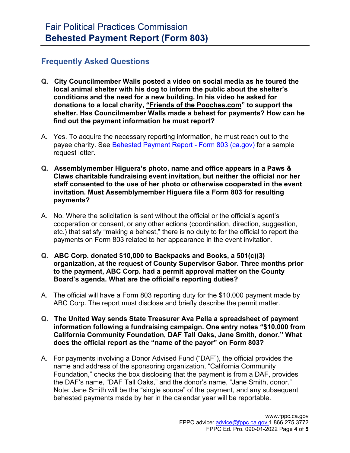### **Frequently Asked Questions**

- **Q. City Councilmember Walls posted a video on social media as he toured the local animal shelter with his dog to inform the public about the shelter's conditions and the need for a new building. In his video he asked for donations to a local charity, "Friends of the Pooches.com" to support the shelter. Has Councilmember Walls made a behest for payments? How can he find out the payment information he must report?**
- A. Yes. To acquire the necessary reporting information, he must reach out to the payee charity. See [Behested Payment Report -](https://www.fppc.ca.gov/learn/public-officials-and-employees-rules-/behested-payment-report.html) Form 803 (ca.gov) for a sample request letter.
- **Q. Assemblymember Higuera's photo, name and office appears in a Paws & Claws charitable fundraising event invitation, but neither the official nor her staff consented to the use of her photo or otherwise cooperated in the event invitation. Must Assemblymember Higuera file a Form 803 for resulting payments?**
- A. No. Where the solicitation is sent without the official or the official's agent's cooperation or consent, or any other actions (coordination, direction, suggestion, etc.) that satisfy "making a behest," there is no duty to for the official to report the payments on Form 803 related to her appearance in the event invitation.
- **Q. ABC Corp. donated \$10,000 to Backpacks and Books, a 501(c)(3) organization, at the request of County Supervisor Gabor. Three months prior to the payment, ABC Corp. had a permit approval matter on the County Board's agenda. What are the official's reporting duties?**
- A. The official will have a Form 803 reporting duty for the \$10,000 payment made by ABC Corp. The report must disclose and briefly describe the permit matter.
- **Q. The United Way sends State Treasurer Ava Pella a spreadsheet of payment information following a fundraising campaign. One entry notes "\$10,000 from California Community Foundation, DAF Tall Oaks, Jane Smith, donor." What does the official report as the "name of the payor" on Form 803?**
- A. For payments involving a Donor Advised Fund ("DAF"), the official provides the name and address of the sponsoring organization, "California Community Foundation," checks the box disclosing that the payment is from a DAF, provides the DAF's name, "DAF Tall Oaks," and the donor's name, "Jane Smith, donor." Note: Jane Smith will be the "single source" of the payment, and any subsequent behested payments made by her in the calendar year will be reportable.